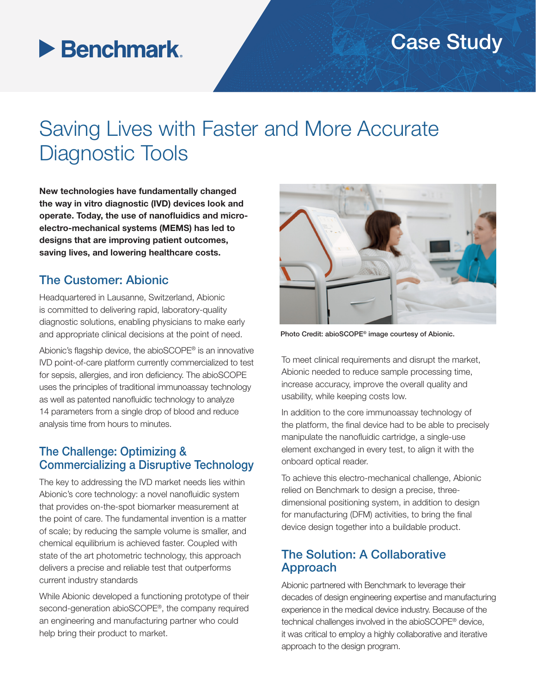### Case Study

## **Benchmark**

### Saving Lives with Faster and More Accurate Diagnostic Tools

New technologies have fundamentally changed the way in vitro diagnostic (IVD) devices look and operate. Today, the use of nanofluidics and microelectro-mechanical systems (MEMS) has led to designs that are improving patient outcomes, saving lives, and lowering healthcare costs.

#### The Customer: Abionic

Headquartered in Lausanne, Switzerland, Abionic is committed to delivering rapid, laboratory-quality diagnostic solutions, enabling physicians to make early and appropriate clinical decisions at the point of need.

Abionic's flagship device, the abioSCOPE® is an innovative IVD point-of-care platform currently commercialized to test for sepsis, allergies, and iron deficiency. The abioSCOPE uses the principles of traditional immunoassay technology as well as patented nanofluidic technology to analyze 14 parameters from a single drop of blood and reduce analysis time from hours to minutes.

#### The Challenge: Optimizing & Commercializing a Disruptive Technology

The key to addressing the IVD market needs lies within Abionic's core technology: a novel nanofluidic system that provides on-the-spot biomarker measurement at the point of care. The fundamental invention is a matter of scale; by reducing the sample volume is smaller, and chemical equilibrium is achieved faster. Coupled with state of the art photometric technology, this approach delivers a precise and reliable test that outperforms current industry standards

While Abionic developed a functioning prototype of their second-generation abioSCOPE®, the company required an engineering and manufacturing partner who could help bring their product to market.



Photo Credit: abioSCOPE® image courtesy of Abionic.

To meet clinical requirements and disrupt the market, Abionic needed to reduce sample processing time, increase accuracy, improve the overall quality and usability, while keeping costs low.

In addition to the core immunoassay technology of the platform, the final device had to be able to precisely manipulate the nanofluidic cartridge, a single-use element exchanged in every test, to align it with the onboard optical reader.

To achieve this electro-mechanical challenge, Abionic relied on Benchmark to design a precise, threedimensional positioning system, in addition to design for manufacturing (DFM) activities, to bring the final device design together into a buildable product.

#### The Solution: A Collaborative Approach

Abionic partnered with Benchmark to leverage their decades of design engineering expertise and manufacturing experience in the medical device industry. Because of the technical challenges involved in the abioSCOPE® device, it was critical to employ a highly collaborative and iterative approach to the design program.